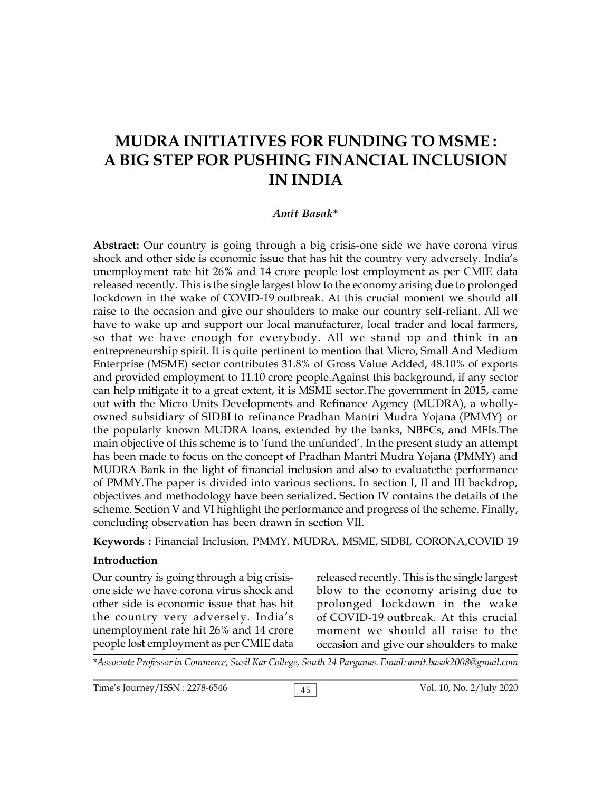# **MUDRA INITIATIVES FOR FUNDING TO MSME : A BIG STEP FOR PUSHING FINANCIAL INCLUSION IN INDIA**

#### *Amit Basak***\***

**Abstract:** Our country is going through a big crisis-one side we have corona virus shock and other side is economic issue that has hit the country very adversely. India's unemployment rate hit 26% and 14 crore people lost employment as per CMIE data released recently. This is the single largest blow to the economy arising due to prolonged lockdown in the wake of COVID-19 outbreak. At this crucial moment we should all raise to the occasion and give our shoulders to make our country self-reliant. All we have to wake up and support our local manufacturer, local trader and local farmers, so that we have enough for everybody. All we stand up and think in an entrepreneurship spirit. It is quite pertinent to mention that Micro, Small And Medium Enterprise (MSME) sector contributes 31.8% of Gross Value Added, 48.10% of exports and provided employment to 11.10 crore people.Against this background, if any sector can help mitigate it to a great extent, it is MSME sector.The government in 2015, came out with the Micro Units Developments and Refinance Agency (MUDRA), a whollyowned subsidiary of SIDBI to refinance Pradhan Mantri Mudra Yojana (PMMY) or the popularly known MUDRA loans, extended by the banks, NBFCs, and MFIs.The main objective of this scheme is to 'fund the unfunded'. In the present study an attempt has been made to focus on the concept of Pradhan Mantri Mudra Yojana (PMMY) and MUDRA Bank in the light of financial inclusion and also to evaluatethe performance of PMMY.The paper is divided into various sections. In section I, II and III backdrop, objectives and methodology have been serialized. Section IV contains the details of the scheme. Section V and VI highlight the performance and progress of the scheme. Finally, concluding observation has been drawn in section VII.

**Keywords :** Financial Inclusion, PMMY, MUDRA, MSME, SIDBI, CORONA,COVID 19

### **Introduction**

Our country is going through a big crisisone side we have corona virus shock and other side is economic issue that has hit the country very adversely. India's unemployment rate hit 26% and 14 crore people lost employment as per CMIE data released recently. This is the single largest blow to the economy arising due to prolonged lockdown in the wake of COVID-19 outbreak. At this crucial moment we should all raise to the occasion and give our shoulders to make

\**Associate Professor in Commerce, Susil Kar College, South 24 Parganas. Email: amit.basak2008@gmail.com*

Time's Journey/ISSN : 2278-6546 <br>
45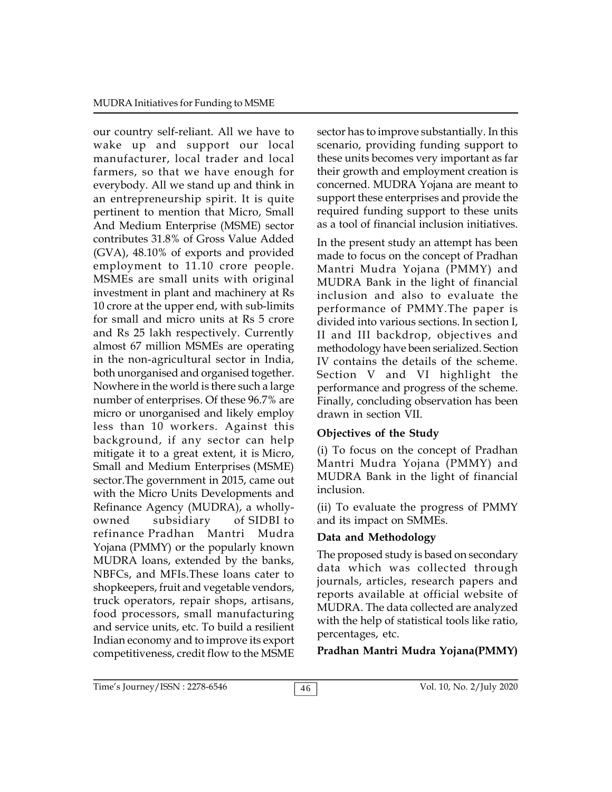our country self-reliant. All we have to wake up and support our local manufacturer, local trader and local farmers, so that we have enough for everybody. All we stand up and think in an entrepreneurship spirit. It is quite pertinent to mention that Micro, Small And Medium Enterprise (MSME) sector contributes 31.8% of Gross Value Added (GVA), 48.10% of exports and provided employment to 11.10 crore people. MSMEs are small units with original investment in plant and machinery at Rs 10 crore at the upper end, with sub-limits for small and micro units at Rs 5 crore and Rs 25 lakh respectively. Currently almost 67 million MSMEs are operating in the non-agricultural sector in India, both unorganised and organised together. Nowhere in the world is there such a large number of enterprises. Of these 96.7% are micro or unorganised and likely employ less than 10 workers. Against this background, if any sector can help mitigate it to a great extent, it is Micro, Small and Medium Enterprises (MSME) sector.The government in 2015, came out with the Micro Units Developments and Refinance Agency (MUDRA), a whollyowned subsidiary of SIDBI to refinance Pradhan Mantri Mudra Yojana (PMMY) or the popularly known MUDRA loans, extended by the banks, NBFCs, and MFIs.These loans cater to shopkeepers, fruit and vegetable vendors, truck operators, repair shops, artisans, food processors, small manufacturing and service units, etc. To build a resilient Indian economy and to improve its export competitiveness, credit flow to the MSME sector has to improve substantially. In this scenario, providing funding support to these units becomes very important as far their growth and employment creation is concerned. MUDRA Yojana are meant to support these enterprises and provide the required funding support to these units as a tool of financial inclusion initiatives.

In the present study an attempt has been made to focus on the concept of Pradhan Mantri Mudra Yojana (PMMY) and MUDRA Bank in the light of financial inclusion and also to evaluate the performance of PMMY.The paper is divided into various sections. In section I, II and III backdrop, objectives and methodology have been serialized. Section IV contains the details of the scheme. Section V and VI highlight the performance and progress of the scheme. Finally, concluding observation has been drawn in section VII.

# **Objectives of the Study**

(i) To focus on the concept of Pradhan Mantri Mudra Yojana (PMMY) and MUDRA Bank in the light of financial inclusion.

(ii) To evaluate the progress of PMMY and its impact on SMMEs.

# **Data and Methodology**

The proposed study is based on secondary data which was collected through journals, articles, research papers and reports available at official website of MUDRA. The data collected are analyzed with the help of statistical tools like ratio, percentages, etc.

**Pradhan Mantri Mudra Yojana(PMMY)**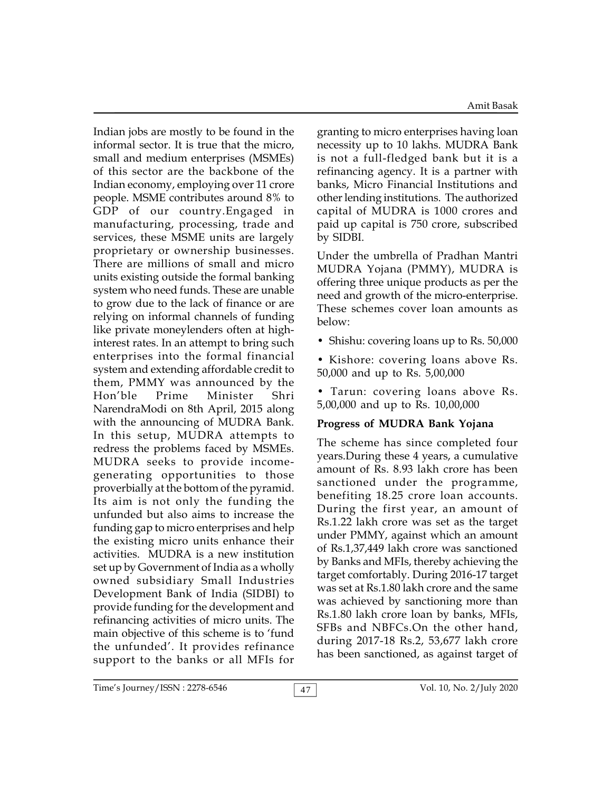Amit Basak

Indian jobs are mostly to be found in the informal sector. It is true that the micro, small and medium enterprises (MSMEs) of this sector are the backbone of the Indian economy, employing over 11 crore people. MSME contributes around 8% to GDP of our country.Engaged in manufacturing, processing, trade and services, these MSME units are largely proprietary or ownership businesses. There are millions of small and micro units existing outside the formal banking system who need funds. These are unable to grow due to the lack of finance or are relying on informal channels of funding like private moneylenders often at highinterest rates. In an attempt to bring such enterprises into the formal financial system and extending affordable credit to them, PMMY was announced by the Hon'ble Prime Minister Shri NarendraModi on 8th April, 2015 along with the announcing of MUDRA Bank. In this setup, MUDRA attempts to redress the problems faced by MSMEs. MUDRA seeks to provide incomegenerating opportunities to those proverbially at the bottom of the pyramid. Its aim is not only the funding the unfunded but also aims to increase the funding gap to micro enterprises and help the existing micro units enhance their activities. MUDRA is a new institution set up by Government of India as a wholly owned subsidiary Small Industries Development Bank of India (SIDBI) to provide funding for the development and refinancing activities of micro units. The main objective of this scheme is to 'fund the unfunded'. It provides refinance support to the banks or all MFIs for

granting to micro enterprises having loan necessity up to 10 lakhs. MUDRA Bank is not a full-fledged bank but it is a refinancing agency. It is a partner with banks, Micro Financial Institutions and other lending institutions. The authorized capital of MUDRA is 1000 crores and paid up capital is 750 crore, subscribed by SIDBI.

Under the umbrella of Pradhan Mantri MUDRA Yojana (PMMY), MUDRA is offering three unique products as per the need and growth of the micro-enterprise. These schemes cover loan amounts as below:

- Shishu: covering loans up to Rs. 50,000
- Kishore: covering loans above Rs. 50,000 and up to Rs. 5,00,000
- Tarun: covering loans above Rs. 5,00,000 and up to Rs. 10,00,000

## **Progress of MUDRA Bank Yojana**

The scheme has since completed four years.During these 4 years, a cumulative amount of Rs. 8.93 lakh crore has been sanctioned under the programme, benefiting 18.25 crore loan accounts. During the first year, an amount of Rs.1.22 lakh crore was set as the target under PMMY, against which an amount of Rs.1,37,449 lakh crore was sanctioned by Banks and MFIs, thereby achieving the target comfortably. During 2016-17 target was set at Rs.1.80 lakh crore and the same was achieved by sanctioning more than Rs.1.80 lakh crore loan by banks, MFIs, SFBs and NBFCs.On the other hand, during 2017-18 Rs.2, 53,677 lakh crore has been sanctioned, as against target of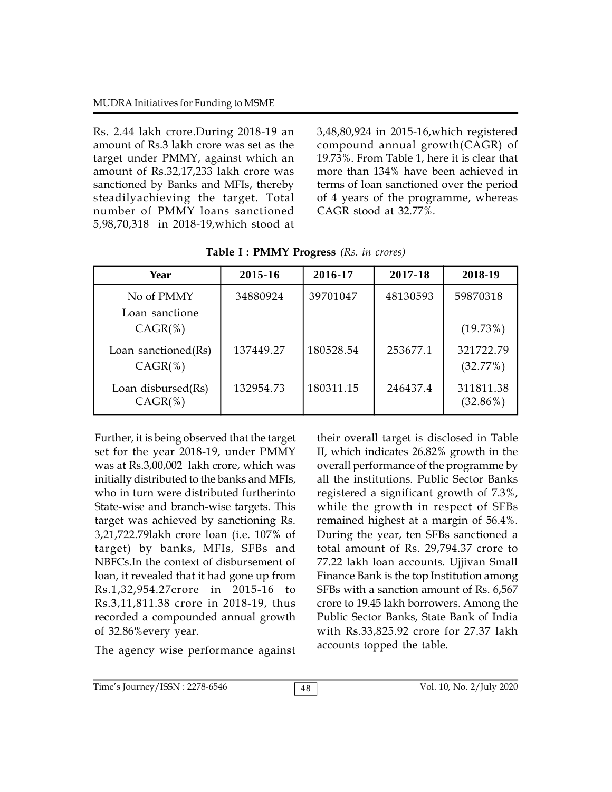Rs. 2.44 lakh crore.During 2018-19 an amount of Rs.3 lakh crore was set as the target under PMMY, against which an amount of Rs.32,17,233 lakh crore was sanctioned by Banks and MFIs, thereby steadilyachieving the target. Total number of PMMY loans sanctioned 5,98,70,318 in 2018-19,which stood at

3,48,80,924 in 2015-16,which registered compound annual growth(CAGR) of 19.73%. From Table 1, here it is clear that more than 134% have been achieved in terms of loan sanctioned over the period of 4 years of the programme, whereas CAGR stood at 32.77%.

| Year                              | 2015-16   | 2016-17   | 2017-18  | 2018-19                  |
|-----------------------------------|-----------|-----------|----------|--------------------------|
| No of PMMY<br>Loan sanctione      | 34880924  | 39701047  | 48130593 | 59870318                 |
| $CAGR$ (%)                        |           |           |          | $(19.73\%)$              |
| Loan sanctioned(Rs)<br>$CAGR$ (%) | 137449.27 | 180528.54 | 253677.1 | 321722.79<br>(32.77%)    |
| Loan disbursed(Rs)<br>$CAGR$ (%)  | 132954.73 | 180311.15 | 246437.4 | 311811.38<br>$(32.86\%)$ |

**Table I : PMMY Progress** *(Rs. in crores)*

Further, it is being observed that the target set for the year 2018-19, under PMMY was at Rs.3,00,002 lakh crore, which was initially distributed to the banks and MFIs, who in turn were distributed furtherinto State-wise and branch-wise targets. This target was achieved by sanctioning Rs. 3,21,722.79lakh crore loan (i.e. 107% of target) by banks, MFIs, SFBs and NBFCs.In the context of disbursement of loan, it revealed that it had gone up from Rs.1,32,954.27crore in 2015-16 to Rs.3,11,811.38 crore in 2018-19, thus recorded a compounded annual growth of 32.86%every year.

The agency wise performance against

their overall target is disclosed in Table II, which indicates 26.82% growth in the overall performance of the programme by all the institutions. Public Sector Banks registered a significant growth of 7.3%, while the growth in respect of SFBs remained highest at a margin of 56.4%. During the year, ten SFBs sanctioned a total amount of Rs. 29,794.37 crore to 77.22 lakh loan accounts. Ujjivan Small Finance Bank is the top Institution among SFBs with a sanction amount of Rs. 6,567 crore to 19.45 lakh borrowers. Among the Public Sector Banks, State Bank of India with Rs.33,825.92 crore for 27.37 lakh accounts topped the table.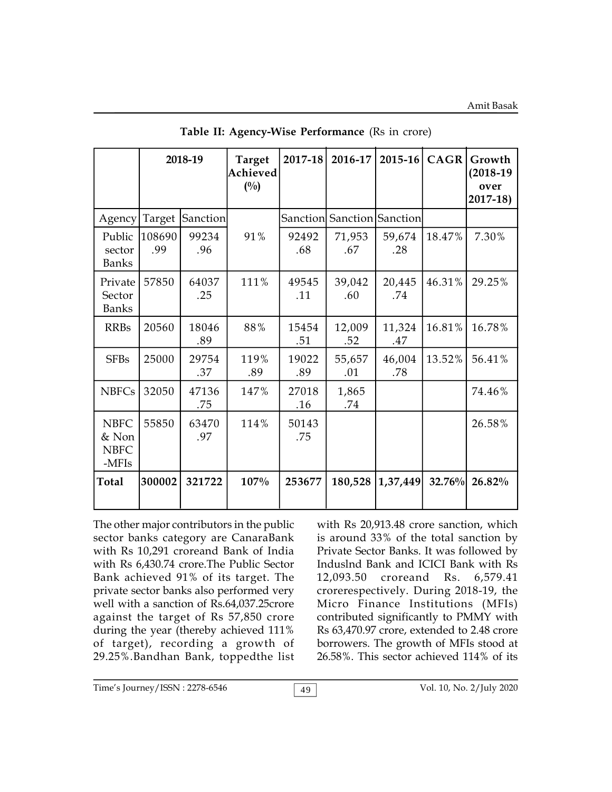|                                                |               | 2018-19      | <b>Target</b><br>Achieved<br>$(^{0}/_{0})$ | 2017-18      | 2016-17                    | $2015 - 16$   | <b>CAGR</b> | Growth<br>$(2018-19)$<br>over<br>$2017 - 18$ |
|------------------------------------------------|---------------|--------------|--------------------------------------------|--------------|----------------------------|---------------|-------------|----------------------------------------------|
| Agency                                         | Target        | Sanction     |                                            |              | Sanction Sanction Sanction |               |             |                                              |
| Public<br>sector<br><b>Banks</b>               | 108690<br>.99 | 99234<br>.96 | 91%                                        | 92492<br>.68 | 71,953<br>.67              | 59,674<br>.28 | 18.47%      | 7.30%                                        |
| Private<br>Sector<br><b>Banks</b>              | 57850         | 64037<br>.25 | 111%                                       | 49545<br>.11 | 39,042<br>.60              | 20,445<br>.74 | 46.31%      | 29.25%                                       |
| <b>RRBs</b>                                    | 20560         | 18046<br>.89 | 88%                                        | 15454<br>.51 | 12,009<br>.52              | 11,324<br>.47 | 16.81%      | 16.78%                                       |
| <b>SFBs</b>                                    | 25000         | 29754<br>.37 | 119%<br>.89                                | 19022<br>.89 | 55,657<br>.01              | 46,004<br>.78 | 13.52%      | 56.41%                                       |
| <b>NBFCs</b>                                   | 32050         | 47136<br>.75 | 147%                                       | 27018<br>.16 | 1,865<br>.74               |               |             | 74.46%                                       |
| <b>NBFC</b><br>& Non<br><b>NBFC</b><br>$-MFIs$ | 55850         | 63470<br>.97 | 114%                                       | 50143<br>.75 |                            |               |             | 26.58%                                       |
| <b>Total</b>                                   | 300002        | 321722       | 107%                                       | 253677       | 180,528                    | 1,37,449      | 32.76%      | 26.82%                                       |

**Table II: Agency-Wise Performance** (Rs in crore)

The other major contributors in the public sector banks category are CanaraBank with Rs 10,291 croreand Bank of India with Rs 6,430.74 crore.The Public Sector Bank achieved 91% of its target. The private sector banks also performed very well with a sanction of Rs.64,037.25crore against the target of Rs 57,850 crore during the year (thereby achieved 111% of target), recording a growth of 29.25%.Bandhan Bank, toppedthe list

with Rs 20,913.48 crore sanction, which is around 33% of the total sanction by Private Sector Banks. It was followed by Induslnd Bank and ICICI Bank with Rs croreand Rs. 6,579.41 crorerespectively. During 2018-19, the Micro Finance Institutions (MFIs) contributed significantly to PMMY with Rs 63,470.97 crore, extended to 2.48 crore borrowers. The growth of MFIs stood at 26.58%. This sector achieved 114% of its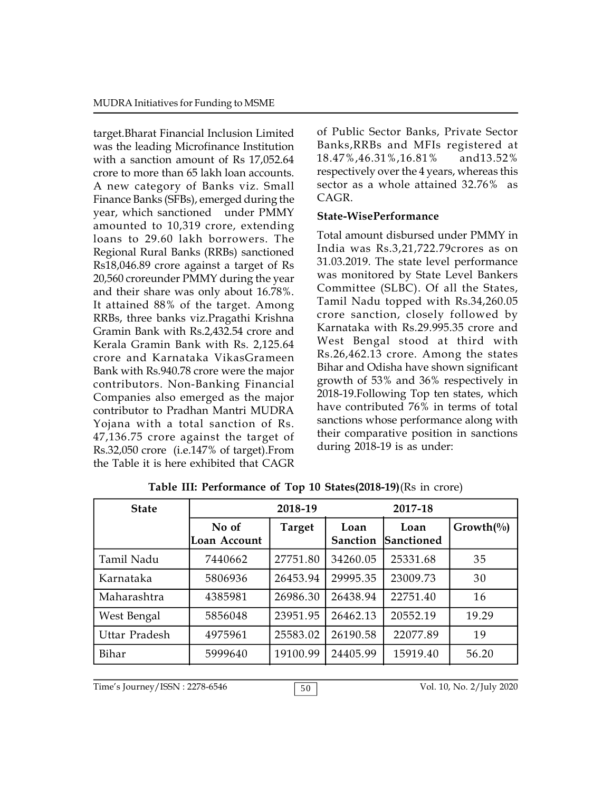target.Bharat Financial Inclusion Limited was the leading Microfinance Institution with a sanction amount of Rs 17,052.64 crore to more than 65 lakh loan accounts. A new category of Banks viz. Small Finance Banks (SFBs), emerged during the year, which sanctioned under PMMY amounted to 10,319 crore, extending loans to 29.60 lakh borrowers. The Regional Rural Banks (RRBs) sanctioned Rs18,046.89 crore against a target of Rs 20,560 croreunder PMMY during the year and their share was only about 16.78%. It attained 88% of the target. Among RRBs, three banks viz.Pragathi Krishna Gramin Bank with Rs.2,432.54 crore and Kerala Gramin Bank with Rs. 2,125.64 crore and Karnataka VikasGrameen Bank with Rs.940.78 crore were the major contributors. Non-Banking Financial Companies also emerged as the major contributor to Pradhan Mantri MUDRA Yojana with a total sanction of Rs. 47,136.75 crore against the target of Rs.32,050 crore (i.e.147% of target).From the Table it is here exhibited that CAGR

of Public Sector Banks, Private Sector Banks,RRBs and MFIs registered at 18.47%,46.31%,16.81% and13.52% respectively over the 4 years, whereas this sector as a whole attained 32.76% as CAGR.

### **State-WisePerformance**

Total amount disbursed under PMMY in India was Rs.3,21,722.79crores as on 31.03.2019. The state level performance was monitored by State Level Bankers Committee (SLBC). Of all the States, Tamil Nadu topped with Rs.34,260.05 crore sanction, closely followed by Karnataka with Rs.29.995.35 crore and West Bengal stood at third with Rs.26,462.13 crore. Among the states Bihar and Odisha have shown significant growth of 53% and 36% respectively in 2018-19.Following Top ten states, which have contributed 76% in terms of total sanctions whose performance along with their comparative position in sanctions during 2018-19 is as under:

| <b>State</b>  |                       | 2018-19       | 2017-18                 |                           |              |
|---------------|-----------------------|---------------|-------------------------|---------------------------|--------------|
|               | No of<br>Loan Account | <b>Target</b> | Loan<br><b>Sanction</b> | Loan<br><b>Sanctioned</b> | $Growth(\%)$ |
| Tamil Nadu    | 7440662               | 27751.80      | 34260.05                | 25331.68                  | 35           |
| Karnataka     | 5806936               | 26453.94      | 29995.35                | 23009.73                  | 30           |
| Maharashtra   | 4385981               | 26986.30      | 26438.94                | 22751.40                  | 16           |
| West Bengal   | 5856048               | 23951.95      | 26462.13                | 20552.19                  | 19.29        |
| Uttar Pradesh | 4975961               | 25583.02      | 26190.58                | 22077.89                  | 19           |
| Bihar         | 5999640               | 19100.99      | 24405.99                | 15919.40                  | 56.20        |

**Table III: Performance of Top 10 States(2018-19)**(Rs in crore)

Time's Journey/ISSN : 2278-6546 50 50 Vol. 10, No. 2/July 2020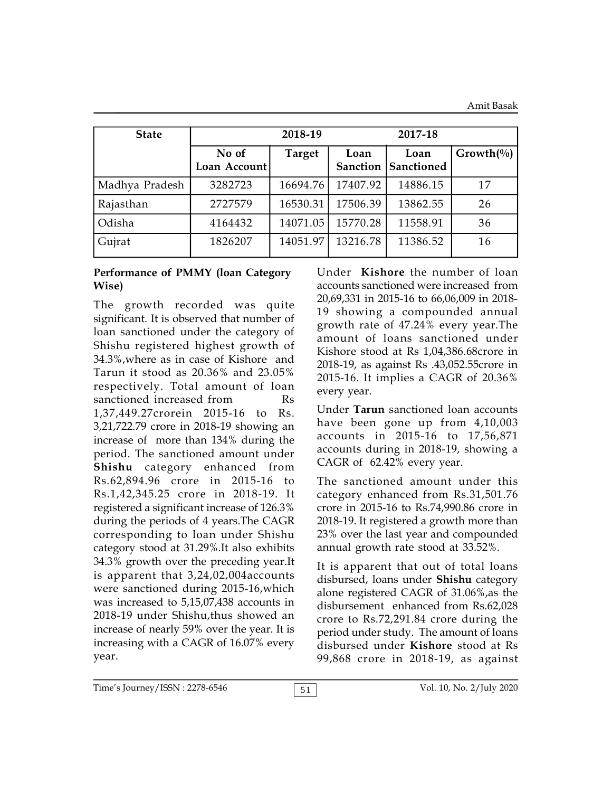| <b>State</b>   |                       | 2018-19       |          |                                    |              |
|----------------|-----------------------|---------------|----------|------------------------------------|--------------|
|                | No of<br>Loan Account | <b>Target</b> | Loan     | Loan<br><b>Sanction Sanctioned</b> | $Growth(\%)$ |
| Madhya Pradesh | 3282723               | 16694.76      | 17407.92 | 14886.15                           | 17           |
| Rajasthan      | 2727579               | 16530.31      | 17506.39 | 13862.55                           | 26           |
| Odisha         | 4164432               | 14071.05      | 15770.28 | 11558.91                           | 36           |
| Gujrat         | 1826207               | 14051.97      | 13216.78 | 11386.52                           | 16           |

## **Performance of PMMY (loan Category Wise)**

The growth recorded was quite significant. It is observed that number of loan sanctioned under the category of Shishu registered highest growth of 34.3%,where as in case of Kishore and Tarun it stood as 20.36% and 23.05% respectively. Total amount of loan sanctioned increased from Rs 1,37,449.27crorein 2015-16 to Rs. 3,21,722.79 crore in 2018-19 showing an increase of more than 134% during the period. The sanctioned amount under **Shishu** category enhanced from Rs.62,894.96 crore in 2015-16 to Rs.1,42,345.25 crore in 2018-19. It registered a significant increase of 126.3% during the periods of 4 years.The CAGR corresponding to loan under Shishu category stood at 31.29%.It also exhibits 34.3% growth over the preceding year.It is apparent that 3,24,02,004accounts were sanctioned during 2015-16,which was increased to 5,15,07,438 accounts in 2018-19 under Shishu,thus showed an increase of nearly 59% over the year. It is increasing with a CAGR of 16.07% every year.

Under **Kishore** the number of loan accounts sanctioned were increased from 20,69,331 in 2015-16 to 66,06,009 in 2018- 19 showing a compounded annual growth rate of 47.24% every year.The amount of loans sanctioned under Kishore stood at Rs 1,04,386.68crore in 2018-19, as against Rs .43,052.55crore in 2015-16. It implies a CAGR of 20.36% every year.

Under **Tarun** sanctioned loan accounts have been gone up from 4,10,003 accounts in 2015-16 to 17,56,871 accounts during in 2018-19, showing a CAGR of 62.42% every year.

The sanctioned amount under this category enhanced from Rs.31,501.76 crore in 2015-16 to Rs.74,990.86 crore in 2018-19. It registered a growth more than 23% over the last year and compounded annual growth rate stood at 33.52%.

It is apparent that out of total loans disbursed, loans under **Shishu** category alone registered CAGR of 31.06%,as the disbursement enhanced from Rs.62,028 crore to Rs.72,291.84 crore during the period under study. The amount of loans disbursed under **Kishore** stood at Rs 99,868 crore in 2018-19, as against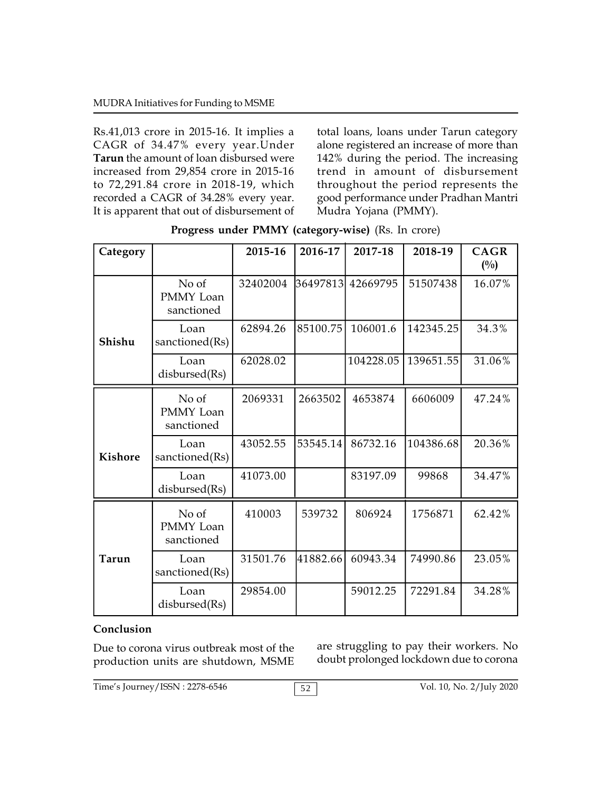Rs.41,013 crore in 2015-16. It implies a CAGR of 34.47% every year.Under **Tarun** the amount of loan disbursed were increased from 29,854 crore in 2015-16 to 72,291.84 crore in 2018-19, which recorded a CAGR of 34.28% every year. It is apparent that out of disbursement of

total loans, loans under Tarun category alone registered an increase of more than 142% during the period. The increasing trend in amount of disbursement throughout the period represents the good performance under Pradhan Mantri Mudra Yojana (PMMY).

| Category       |                                  | 2015-16  | 2016-17  | 2017-18   | 2018-19   | <b>CAGR</b><br>$(^{0}/_{0})$ |
|----------------|----------------------------------|----------|----------|-----------|-----------|------------------------------|
|                | No of<br>PMMY Loan<br>sanctioned | 32402004 | 36497813 | 42669795  | 51507438  | 16.07%                       |
| Shishu         | Loan<br>sanctioned(Rs)           | 62894.26 | 85100.75 | 106001.6  | 142345.25 | 34.3%                        |
|                | Loan<br>disbursed(Rs)            | 62028.02 |          | 104228.05 | 139651.55 | 31.06%                       |
|                | No of<br>PMMY Loan<br>sanctioned | 2069331  | 2663502  | 4653874   | 6606009   | 47.24%                       |
| <b>Kishore</b> | Loan<br>sanctioned(Rs)           | 43052.55 | 53545.14 | 86732.16  | 104386.68 | 20.36%                       |
|                | Loan<br>disbursed(Rs)            | 41073.00 |          | 83197.09  | 99868     | 34.47%                       |
|                | No of<br>PMMY Loan<br>sanctioned | 410003   | 539732   | 806924    | 1756871   | 62.42%                       |
| Tarun          | Loan<br>sanctioned(Rs)           | 31501.76 | 41882.66 | 60943.34  | 74990.86  | 23.05%                       |
|                | Loan<br>disbursed(Rs)            | 29854.00 |          | 59012.25  | 72291.84  | 34.28%                       |

|  | Progress under PMMY (category-wise) (Rs. In crore) |  |  |
|--|----------------------------------------------------|--|--|
|  |                                                    |  |  |

## **Conclusion**

Due to corona virus outbreak most of the production units are shutdown, MSME

are struggling to pay their workers. No doubt prolonged lockdown due to corona